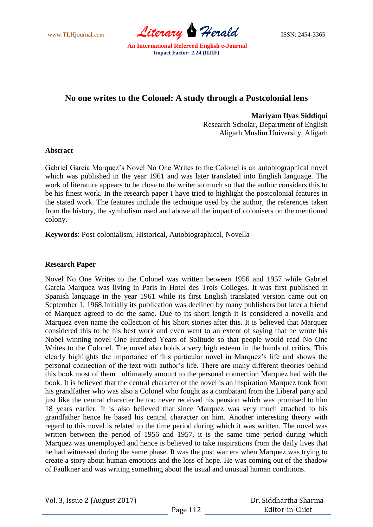www.TLHjournal.com *Literary Herald* ISSN: 2454-3365

# **No one writes to the Colonel: A study through a Postcolonial lens**

**Mariyam Ilyas Siddiqui** Research Scholar, Department of English Aligarh Muslim University, Aligarh

#### **Abstract**

Gabriel Garcia Marquez"s Novel No One Writes to the Colonel is an autobiographical novel which was published in the year 1961 and was later translated into English language. The work of literature appears to be close to the writer so much so that the author considers this to be his finest work. In the research paper I have tried to highlight the postcolonial features in the stated work. The features include the technique used by the author, the references taken from the history, the symbolism used and above all the impact of colonisers on the mentioned colony.

**Keywords**: Post-colonialism, Historical, Autobiographical, Novella

### **Research Paper**

Novel No One Writes to the Colonel was written between 1956 and 1957 while Gabriel Garcia Marquez was living in Paris in Hotel des Trois Colleges. It was first published in Spanish language in the year 1961 while its first English translated version came out on September 1, 1968.Initially its publication was declined by many publishers but later a friend of Marquez agreed to do the same. Due to its short length it is considered a novella and Marquez even name the collection of his Short stories after this. It is believed that Marquez considered this to be his best work and even went to an extent of saying that he wrote his Nobel winning novel One Hundred Years of Solitude so that people would read No One Writes to the Colonel. The novel also holds a very high esteem in the hands of critics. This clearly highlights the importance of this particular novel in Marquez"s life and shows the personal connection of the text with author's life. There are many different theories behind this book most of them ultimately amount to the personal connection Marquez had with the book. It is believed that the central character of the novel is an inspiration Marquez took from his grandfather who was also a Colonel who fought as a combatant from the Liberal party and just like the central character he too never received his pension which was promised to him 18 years earlier. It is also believed that since Marquez was very much attached to his grandfather hence he based his central character on him. Another interesting theory with regard to this novel is related to the time period during which it was written. The novel was written between the period of 1956 and 1957, it is the same time period during which Marquez was unemployed and hence is believed to take inspirations from the daily lives that he had witnessed during the same phase. It was the post war era when Marquez was trying to create a story about human emotions and the loss of hope. He was coming out of the shadow of Faulkner and was writing something about the usual and unusual human conditions.

 Dr. Siddhartha Sharma Editor-in-Chief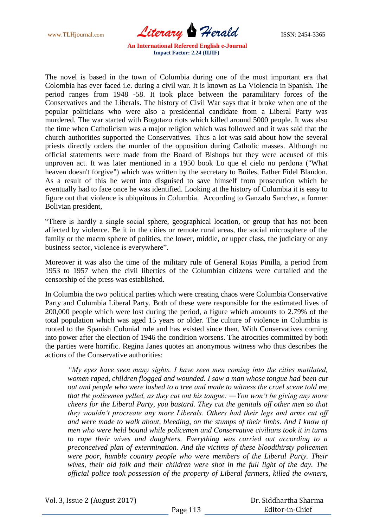www.TLHjournal.com *Literary Herald* ISSN: 2454-3365

The novel is based in the town of Columbia during one of the most important era that Colombia has ever faced i.e. during a civil war. It is known as La Violencia in Spanish. The period ranges from 1948 -58. It took place between the paramilitary forces of the Conservatives and the Liberals. The history of Civil War says that it broke when one of the popular politicians who were also a presidential candidate from a Liberal Party was murdered. The war started with Bogotazo riots which killed around 5000 people. It was also the time when Catholicism was a major religion which was followed and it was said that the church authorities supported the Conservatives. Thus a lot was said about how the several priests directly orders the murder of the opposition during Catholic masses. Although no official statements were made from the Board of Bishops but they were accused of this unproven act. It was later mentioned in a 1950 book Lo que el cielo no perdona ("What heaven doesn't forgive") which was written by the secretary to Builes, Father Fidel Blandon. As a result of this he went into disguised to save himself from prosecution which he eventually had to face once he was identified. Looking at the history of Columbia it is easy to figure out that violence is ubiquitous in Columbia. According to Ganzalo Sanchez, a former Bolivian president,

"There is hardly a single social sphere, geographical location, or group that has not been affected by violence. Be it in the cities or remote rural areas, the social microsphere of the family or the macro sphere of politics, the lower, middle, or upper class, the judiciary or any business sector, violence is everywhere".

Moreover it was also the time of the military rule of General Rojas Pinilla, a period from 1953 to 1957 when the civil liberties of the Columbian citizens were curtailed and the censorship of the press was established.

In Columbia the two political parties which were creating chaos were Columbia Conservative Party and Columbia Liberal Party. Both of these were responsible for the estimated lives of 200,000 people which were lost during the period, a figure which amounts to 2.79% of the total population which was aged 15 years or older. The culture of violence in Columbia is rooted to the Spanish Colonial rule and has existed since then. With Conservatives coming into power after the election of 1946 the condition worsens. The atrocities committed by both the parties were horrific. Regina Janes quotes an anonymous witness who thus describes the actions of the Conservative authorities:

*"My eyes have seen many sights. I have seen men coming into the cities mutilated, women raped, children flogged and wounded. I saw a man whose tongue had been cut out and people who were lashed to a tree and made to witness the cruel scene told me that the policemen yelled, as they cut out his tongue: ―You won"t be giving any more cheers for the Liberal Party, you bastard. They cut the genitals off other men so that they wouldn"t procreate any more Liberals. Others had their legs and arms cut off and were made to walk about, bleeding, on the stumps of their limbs. And I know of men who were held bound while policemen and Conservative civilians took it in turns to rape their wives and daughters. Everything was carried out according to a preconceived plan of extermination. And the victims of these bloodthirsty policemen were poor, humble country people who were members of the Liberal Party. Their wives, their old folk and their children were shot in the full light of the day. The official police took possession of the property of Liberal farmers, killed the owners,*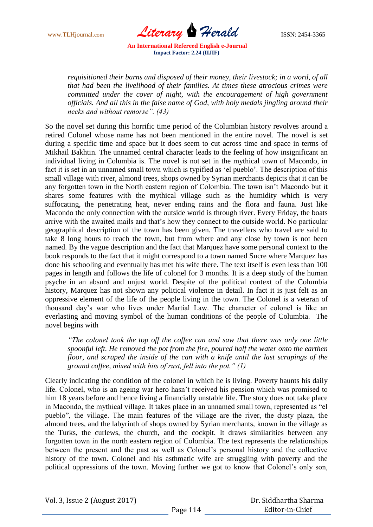www.TLHjournal.com *Literary Herald* ISSN: 2454-3365

*requisitioned their barns and disposed of their money, their livestock; in a word, of all that had been the livelihood of their families. At times these atrocious crimes were committed under the cover of night, with the encouragement of high government officials. And all this in the false name of God, with holy medals jingling around their necks and without remorse". (43)*

So the novel set during this horrific time period of the Columbian history revolves around a retired Colonel whose name has not been mentioned in the entire novel. The novel is set during a specific time and space but it does seem to cut across time and space in terms of Mikhail Bakhtin. The unnamed central character leads to the feeling of how insignificant an individual living in Columbia is. The novel is not set in the mythical town of Macondo, in fact it is set in an unnamed small town which is typified as "el pueblo". The description of this small village with river, almond trees, shops owned by Syrian merchants depicts that it can be any forgotten town in the North eastern region of Colombia. The town isn"t Macondo but it shares some features with the mythical village such as the humidity which is very suffocating, the penetrating heat, never ending rains and the flora and fauna. Just like Macondo the only connection with the outside world is through river. Every Friday, the boats arrive with the awaited mails and that"s how they connect to the outside world. No particular geographical description of the town has been given. The travellers who travel are said to take 8 long hours to reach the town, but from where and any close by town is not been named. By the vague description and the fact that Marquez have some personal context to the book responds to the fact that it might correspond to a town named Sucre where Marquez has done his schooling and eventually has met his wife there. The text itself is even less than 100 pages in length and follows the life of colonel for 3 months. It is a deep study of the human psyche in an absurd and unjust world. Despite of the political context of the Columbia history, Marquez has not shown any political violence in detail. In fact it is just felt as an oppressive element of the life of the people living in the town. The Colonel is a veteran of thousand day"s war who lives under Martial Law. The character of colonel is like an everlasting and moving symbol of the human conditions of the people of Columbia. The novel begins with

*"The colonel took the top off the coffee can and saw that there was only one little spoonful left. He removed the pot from the fire, poured half the water onto the earthen floor, and scraped the inside of the can with a knife until the last scrapings of the ground coffee, mixed with bits of rust, fell into the pot." (1)*

Clearly indicating the condition of the colonel in which he is living. Poverty haunts his daily life. Colonel, who is an ageing war hero hasn"t received his pension which was promised to him 18 years before and hence living a financially unstable life. The story does not take place in Macondo, the mythical village. It takes place in an unnamed small town, represented as "el pueblo", the village. The main features of the village are the river, the dusty plaza, the almond trees, and the labyrinth of shops owned by Syrian merchants, known in the village as the Turks, the curlews, the church, and the cockpit. It draws similarities between any forgotten town in the north eastern region of Colombia. The text represents the relationships between the present and the past as well as Colonel"s personal history and the collective history of the town. Colonel and his asthmatic wife are struggling with poverty and the political oppressions of the town. Moving further we got to know that Colonel"s only son,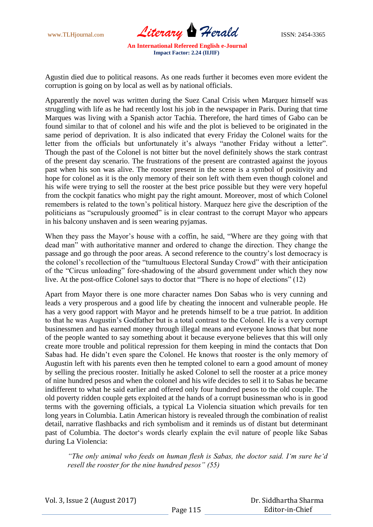www.TLHjournal.com *Literary Herald* ISSN: 2454-3365

Agustin died due to political reasons. As one reads further it becomes even more evident the corruption is going on by local as well as by national officials.

Apparently the novel was written during the Suez Canal Crisis when Marquez himself was struggling with life as he had recently lost his job in the newspaper in Paris. During that time Marques was living with a Spanish actor Tachia. Therefore, the hard times of Gabo can be found similar to that of colonel and his wife and the plot is believed to be originated in the same period of deprivation. It is also indicated that every Friday the Colonel waits for the letter from the officials but unfortunately it's always "another Friday without a letter". Though the past of the Colonel is not bitter but the novel definitely shows the stark contrast of the present day scenario. The frustrations of the present are contrasted against the joyous past when his son was alive. The rooster present in the scene is a symbol of positivity and hope for colonel as it is the only memory of their son left with them even though colonel and his wife were trying to sell the rooster at the best price possible but they were very hopeful from the cockpit fanatics who might pay the right amount. Moreover, most of which Colonel remembers is related to the town"s political history. Marquez here give the description of the politicians as "scrupulously groomed" is in clear contrast to the corrupt Mayor who appears in his balcony unshaven and is seen wearing pyjamas.

When they pass the Mayor's house with a coffin, he said, "Where are they going with that dead man" with authoritative manner and ordered to change the direction. They change the passage and go through the poor areas. A second reference to the country"s lost democracy is the colonel"s recollection of the "tumultuous Electoral Sunday Crowd" with their anticipation of the "Circus unloading" fore-shadowing of the absurd government under which they now live. At the post-office Colonel says to doctor that "There is no hope of elections" (12)

Apart from Mayor there is one more character names Don Sabas who is very cunning and leads a very prosperous and a good life by cheating the innocent and vulnerable people. He has a very good rapport with Mayor and he pretends himself to be a true patriot. In addition to that he was Augustin"s Godfather but is a total contrast to the Colonel. He is a very corrupt businessmen and has earned money through illegal means and everyone knows that but none of the people wanted to say something about it because everyone believes that this will only create more trouble and political repression for them keeping in mind the contacts that Don Sabas had. He didn"t even spare the Colonel. He knows that rooster is the only memory of Augustin left with his parents even then he tempted colonel to earn a good amount of money by selling the precious rooster. Initially he asked Colonel to sell the rooster at a price money of nine hundred pesos and when the colonel and his wife decides to sell it to Sabas he became indifferent to what he said earlier and offered only four hundred pesos to the old couple. The old poverty ridden couple gets exploited at the hands of a corrupt businessman who is in good terms with the governing officials, a typical La Violencia situation which prevails for ten long years in Columbia. Latin American history is revealed through the combination of realist detail, narrative flashbacks and rich symbolism and it reminds us of distant but determinant past of Columbia. The doctor's words clearly explain the evil nature of people like Sabas during La Violencia:

*"The only animal who feeds on human flesh is Sabas, the doctor said. I"m sure he"d resell the rooster for the nine hundred pesos" (55)*

 Dr. Siddhartha Sharma Editor-in-Chief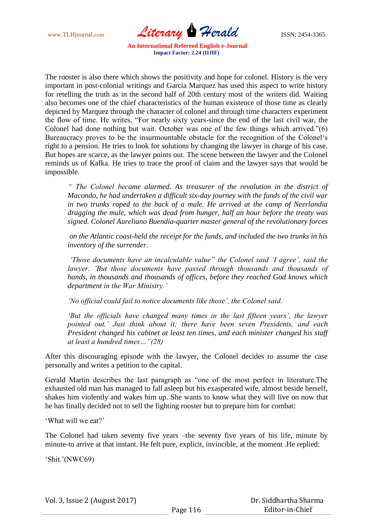www.TLHjournal.com *Literary Herald* ISSN: 2454-3365

The rooster is also there which shows the positivity and hope for colonel. History is the very important in post-colonial writings and Garcia Marquez has used this aspect to write history for retelling the truth as in the second half of 20th century most of the writers did. Waiting also becomes one of the chief characteristics of the human existence of those time as clearly depicted by Marquez through the character of colonel and through time characters experiment the flow of time. He writes, "For nearly sixty years-since the end of the last civil war, the Colonel had done nothing but wait. October was one of the few things which arrived."(6) Bureaucracy proves to be the insurmountable obstacle for the recognition of the Colonel"s right to a pension. He tries to look for solutions by changing the lawyer in charge of his case. But hopes are scarce, as the lawyer points out. The scene between the lawyer and the Colonel reminds us of Kafka. He tries to trace the proof of claim and the lawyer says that would be impossible.

*" The Colonel became alarmed. As treasurer of the revolution in the district of Macondo, he had undertaken a difficult six-day journey with the funds of the civil war in two trunks roped to the back of a mule. He arrived at the camp of Neerlandia dragging the mule, which was dead from hunger, half an hour before the treaty was signed. Colonel Aureliano Buendia-quarter master general of the revolutionary forces*

*on the Atlantic coast-held the receipt for the funds, and included the two trunks in his inventory of the surrender.* 

*"Those documents have an incalculable value" the Colonel said "I agree", said the lawyer. "But those documents have passed through thousands and thousands of hands, in thousands and thousands of offices, before they reached God knows which department in the War Ministry."* 

*"No official could fail to notice documents like those", the Colonel said.* 

*"But the officials have changed many times in the last fifteen years", the lawyer pointed out." Just think about it; there have been seven Presidents, and each President changed his cabinet at least ten times, and each minister changed his staff at least a hundred times…"(28)*

After this discouraging episode with the lawyer, the Colonel decides to assume the case personally and writes a petition to the capital.

Gerald Martin describes the last paragraph as "one of the most perfect in literature.The exhausted old man has managed to fall asleep but his exasperated wife, almost beside herself, shakes him violently and wakes him up. She wants to know what they will live on now that he has finally decided not to sell the fighting rooster but to prepare him for combat:

"What will we eat?"

The Colonel had taken seventy five years –the seventy five years of his life, minute by minute-to arrive at that instant. He felt pure, explicit, invincible, at the moment .He replied:

"Shit."(NWC69)